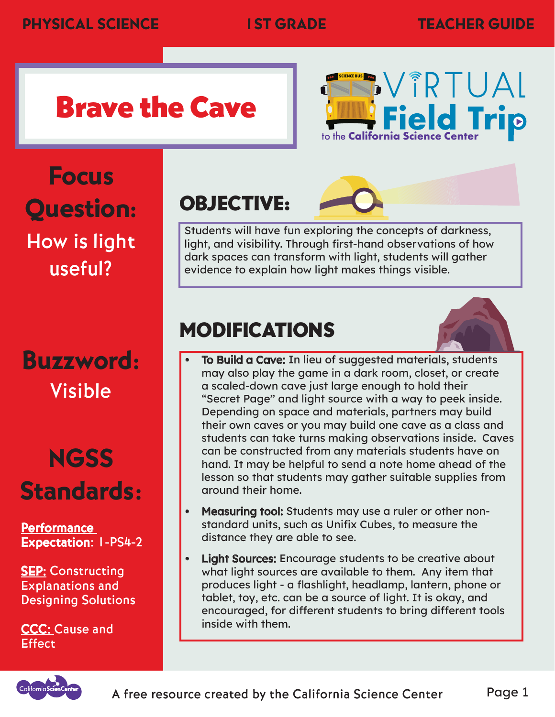# Brave the Cave



Focus Question: How is light useful?

### Buzzword: Visible

# **NGSS** Standards:

**Performance** <mark>Performance</mark><br><u>Expectation</u>: I-PS4-2

**SEP: Constructing** Explanations and Designing Solutions

CCC: Cause and **Effect** 

#### OBJECTIVE:

Students will have fun exploring the concepts of darkness, light, and visibility. Through first-hand observations of how dark spaces can transform with light, students will gather evidence to explain how light makes things visible.

#### MODIFICATIONS



- • To Build a Cave: In lieu of suggested materials, students may also play the game in a dark room, closet, or create a scaled-down cave just large enough to hold their "Secret Page" and light source with a way to peek inside. Depending on space and materials, partners may build their own caves or you may build one cave as a class and students can take turns making observations inside. Caves can be constructed from any materials students have on hand. It may be helpful to send a note home ahead of the lesson so that students may gather suitable supplies from around their home.
- • Measuring tool: Students may use a ruler or other nonstandard units, such as Unifix Cubes, to measure the distance they are able to see.
- • Light Sources: Encourage students to be creative about what light sources are available to them. Any item that produces light - a flashlight, headlamp, lantern, phone or tablet, toy, etc. can be a source of light. It is okay, and encouraged, for different students to bring different tools inside with them.

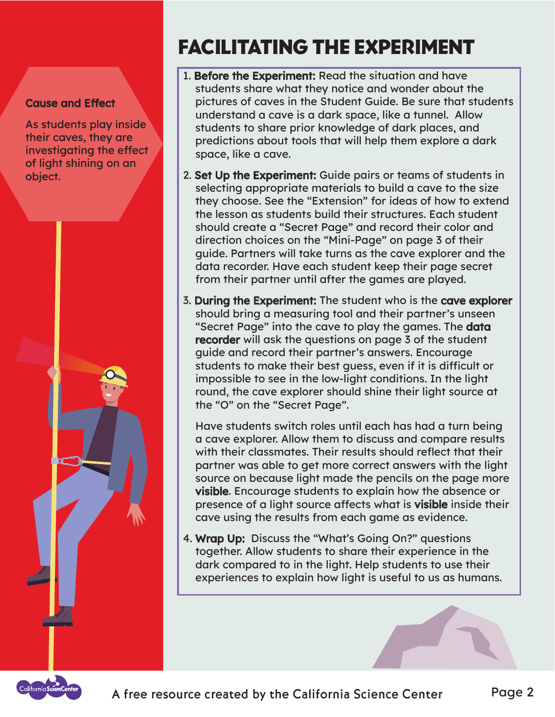#### Cause and Effect

As students play inside their caves, they are investigating the effect of light shining on an object.



#### FACILITATING THE EXPERIMENT

- 1. Before the Experiment: Read the situation and have students share what they notice and wonder about the pictures of caves in the Student Guide. Be sure that students understand a cave is a dark space, like a tunnel. Allow students to share prior knowledge of dark places, and predictions about tools that will help them explore a dark space, like a cave.
- 2. Set Up the Experiment: Guide pairs or teams of students in selecting appropriate materials to build a cave to the size they choose. See the "Extension" for ideas of how to extend the lesson as students build their structures. Each student should create a "Secret Page" and record their color and direction choices on the "Mini-Page" on page 3 of their guide. Partners will take turns as the cave explorer and the data recorder. Have each student keep their page secret from their partner until after the games are played.
- 3. During the Experiment: The student who is the cave explorer should bring a measuring tool and their partner's unseen "Secret Page" into the cave to play the games. The **data** recorder will ask the questions on page 3 of the student guide and record their partner's answers. Encourage students to make their best guess, even if it is difficult or impossible to see in the low-light conditions. In the light round, the cave explorer should shine their light source at the "O" on the "Secret Page".

Have students switch roles until each has had a turn being a cave explorer. Allow them to discuss and compare results with their classmates. Their results should reflect that their partner was able to get more correct answers with the light source on because light made the pencils on the page more visible. Encourage students to explain how the absence or presence of a light source affects what is visible inside their cave using the results from each game as evidence.

4. Wrap Up: Discuss the "What's Going On?" questions together. Allow students to share their experience in the dark compared to in the light. Help students to use their experiences to explain how light is useful to us as humans.

A free resource created by the California Science Center Page 2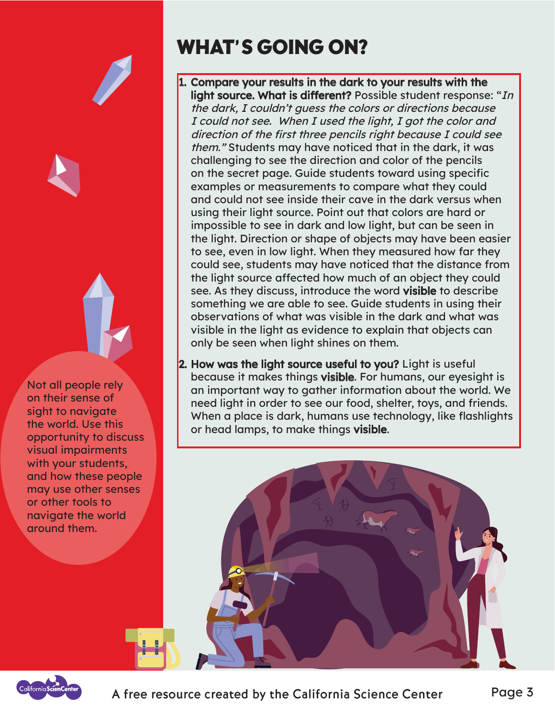

#### WHAT'S GOING ON?

- 1. Compar Compare your results in the dark to your results with the e **light source. What is different?** Possible student response: "*In* the dark, I couldn't guess the colors or directions because I could not see. When I used the light, I got the color and direction of the first three pencils right because I could see them." Students may have noticed that in the dark, it was challenging to see the direction and color of the pencils on the secret page. Guide students toward using specific examples or measurements to compare what they could and could not see inside their cave in the dark versus when using their light source. Point out that colors are hard or impossible to see in dark and low light, but can be seen in the light. Direction or shape of objects may have been easier to see, even in low light. When they measured how far they could see, students may have noticed that the distance from the light source affected how much of an object they could see. As they discuss, introduce the word visible to describe something we are able to see. Guide students in using their observations of what was visible in the dark and what was visible in the light as evidence to explain that objects can only be seen when light shines on them.
- 2. How was the light source useful to you? Light is useful because it makes things visible. For humans, our eyesight is an important way to gather information about the world. We need light in order to see our food, shelter, toys, and friends. When a place is dark, humans use technology, like flashlights or head lamps, to make things visible.